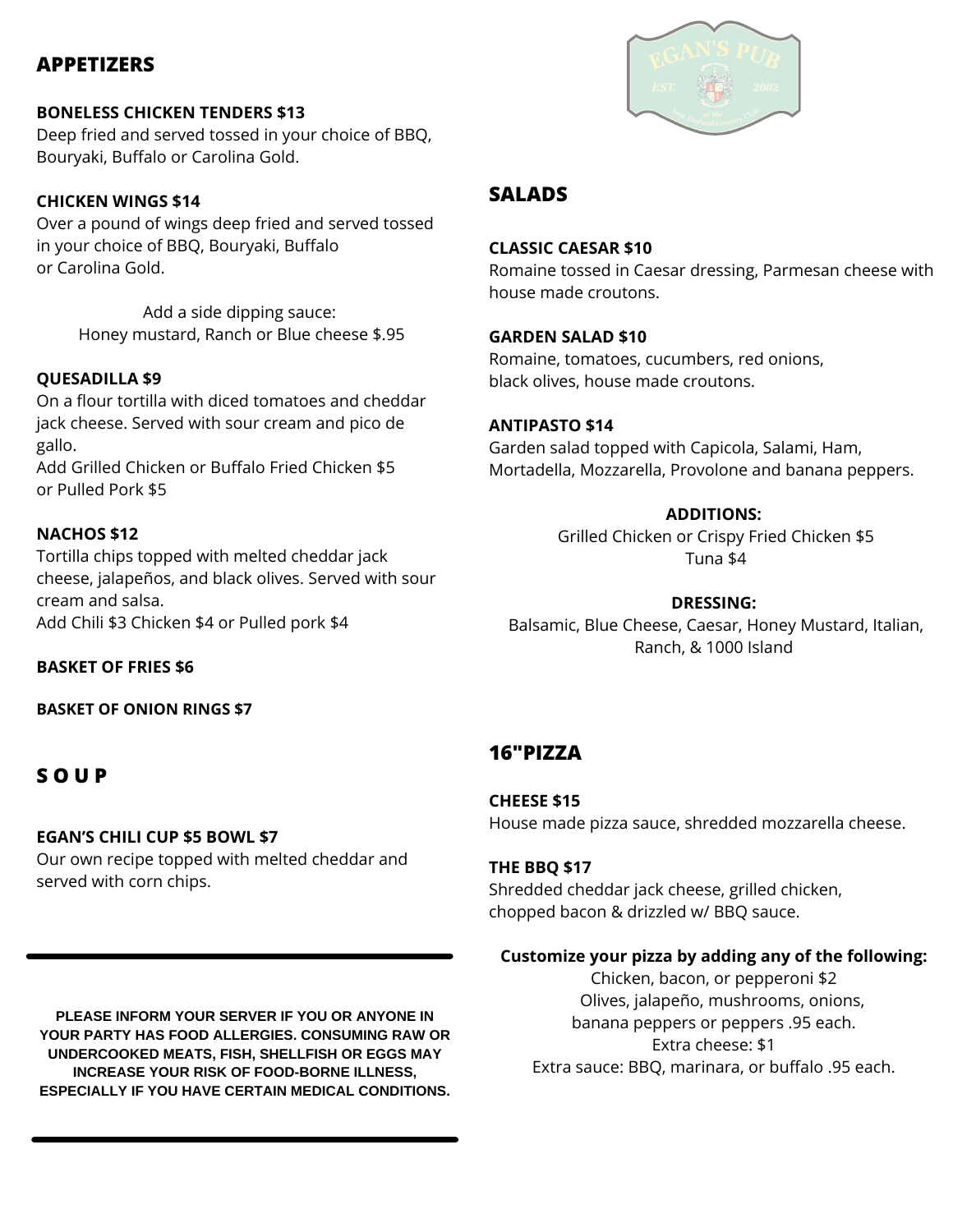# **APPETIZERS**

## **BONELESS CHICKEN TENDERS \$13**

Deep fried and served tossed in your choice of BBQ, Bouryaki, Buffalo or Carolina Gold.

## **CHICKEN WINGS \$14**

Over a pound of wings deep fried and served tossed in your choice of BBQ, Bouryaki, Buffalo or Carolina Gold.

> Add a side dipping sauce: Honey mustard, Ranch or Blue cheese \$.95

## **QUESADILLA \$9**

On a flour tortilla with diced tomatoes and cheddar jack cheese. Served with sour cream and pico de gallo.

Add Grilled Chicken or Buffalo Fried Chicken \$5 or Pulled Pork \$5

## **NACHOS \$12**

Tortilla chips topped with melted cheddar jack cheese, jalapeños, and black olives. Served with sour cream and salsa. Add Chili \$3 Chicken \$4 or Pulled pork \$4

**BASKET OF FRIES \$6**

**BASKET OF ONION RINGS \$7**

# **S O U P**

## **EGAN'S CHILI CUP \$5 BOWL \$7**

Our own recipe topped with melted cheddar and served with corn chips.

**PLEASE INFORM YOUR SERVER IF YOU OR ANYONE IN YOUR PARTY HAS FOOD ALLERGIES. CONSUMING RAW OR UNDERCOOKED MEATS, FISH, SHELLFISH OR EGGS MAY INCREASE YOUR RISK OF FOOD-BORNE ILLNESS, ESPECIALLY IF YOU HAVE CERTAIN MEDICAL CONDITIONS.**



## **SALADS**

### **CLASSIC CAESAR \$10**

Romaine tossed in Caesar dressing, Parmesan cheese with house made croutons.

## **GARDEN SALAD \$10**

Romaine, tomatoes, cucumbers, red onions, black olives, house made croutons.

## **ANTIPASTO \$14**

Garden salad topped with Capicola, Salami, Ham, Mortadella, Mozzarella, Provolone and banana peppers.

## **ADDITIONS:**

Grilled Chicken or Crispy Fried Chicken \$5 Tuna \$4

## **DRESSING:**

Balsamic, Blue Cheese, Caesar, Honey Mustard, Italian, Ranch, & 1000 Island

# **16"PIZZA**

**CHEESE \$15** House made pizza sauce, shredded mozzarella cheese.

## **THE BBQ \$17**

Shredded cheddar jack cheese, grilled chicken, chopped bacon & drizzled w/ BBQ sauce.

## **Customize your pizza by adding any of the following:**

Chicken, bacon, or pepperoni \$2 Olives, jalapeño, mushrooms, onions, banana peppers or peppers .95 each. Extra cheese: \$1 Extra sauce: BBQ, marinara, or buffalo .95 each.